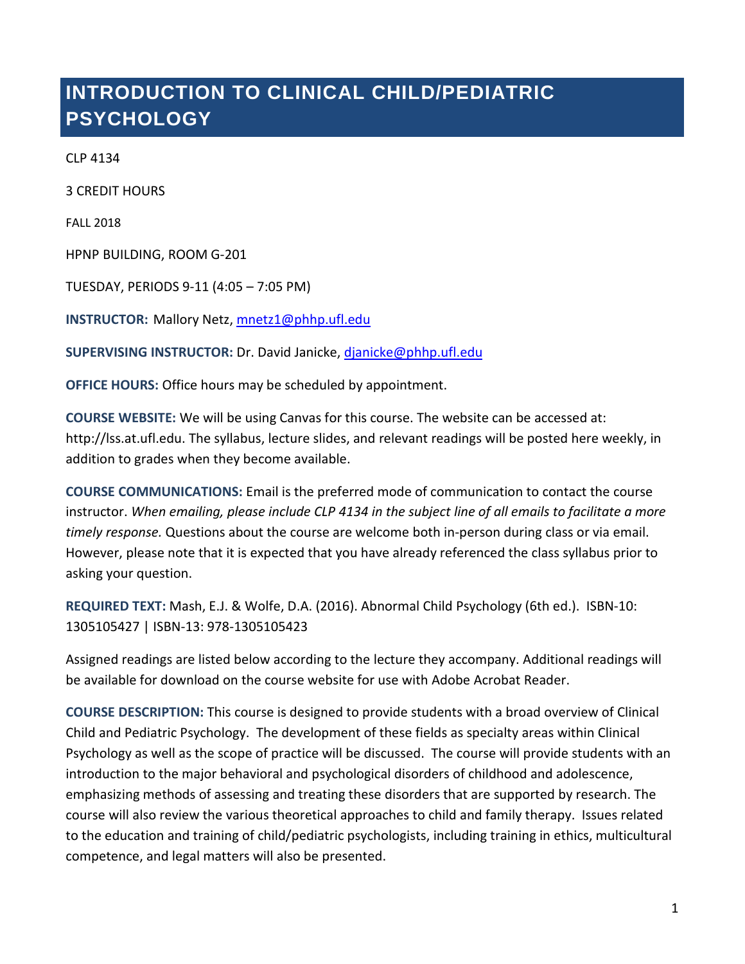# **INTRODUCTION TO CLINICAL CHILD/PEDIATRIC PSYCHOLOGY**

CLP 4134

3 CREDIT HOURS

FALL 2018

HPNP BUILDING, ROOM G-201

TUESDAY, PERIODS 9-11 (4:05 – 7:05 PM)

**INSTRUCTOR:** Mallory Netz, [mnetz1@phhp.ufl.edu](mailto:mnetz1@phhp.ufl.edu)

**SUPERVISING INSTRUCTOR:** Dr. David Janicke, [djanicke@phhp.ufl.edu](mailto:djanicke@phhp.ufl.edu)

**OFFICE HOURS:** Office hours may be scheduled by appointment.

**COURSE WEBSITE:** We will be using Canvas for this course. The website can be accessed at: [http://lss.at.ufl.edu.](http://lss.at.ufl.edu/) The syllabus, lecture slides, and relevant readings will be posted here weekly, in addition to grades when they become available.

**COURSE COMMUNICATIONS:** Email is the preferred mode of communication to contact the course instructor. *When emailing, please include CLP 4134 in the subject line of all emails to facilitate a more timely response.* Questions about the course are welcome both in-person during class or via email. However, please note that it is expected that you have already referenced the class syllabus prior to asking your question.

**REQUIRED TEXT:** Mash, E.J. & Wolfe, D.A. (2016). Abnormal Child Psychology (6th ed.). ISBN-10: 1305105427 | ISBN-13: 978-1305105423

Assigned readings are listed below according to the lecture they accompany. Additional readings will be available for download on the course website for use with Adobe Acrobat Reader.

**COURSE DESCRIPTION:** This course is designed to provide students with a broad overview of Clinical Child and Pediatric Psychology. The development of these fields as specialty areas within Clinical Psychology as well as the scope of practice will be discussed. The course will provide students with an introduction to the major behavioral and psychological disorders of childhood and adolescence, emphasizing methods of assessing and treating these disorders that are supported by research. The course will also review the various theoretical approaches to child and family therapy. Issues related to the education and training of child/pediatric psychologists, including training in ethics, multicultural competence, and legal matters will also be presented.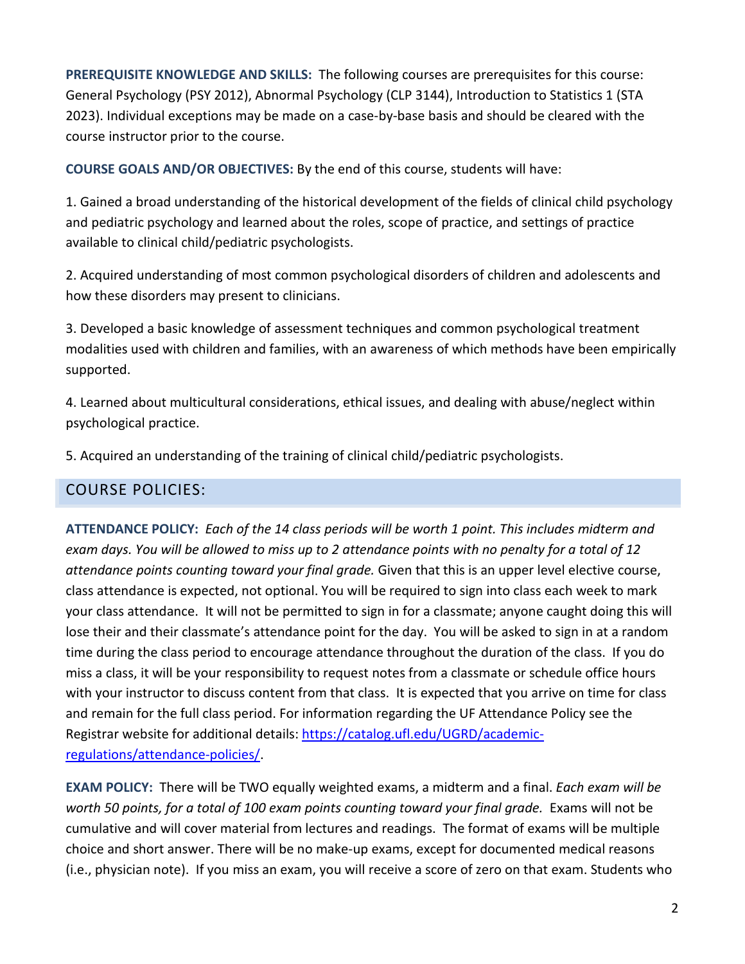**PREREQUISITE KNOWLEDGE AND SKILLS:** The following courses are prerequisites for this course: General Psychology (PSY 2012), Abnormal Psychology (CLP 3144), Introduction to Statistics 1 (STA 2023). Individual exceptions may be made on a case-by-base basis and should be cleared with the course instructor prior to the course.

**COURSE GOALS AND/OR OBJECTIVES:** By the end of this course, students will have:

1. Gained a broad understanding of the historical development of the fields of clinical child psychology and pediatric psychology and learned about the roles, scope of practice, and settings of practice available to clinical child/pediatric psychologists.

2. Acquired understanding of most common psychological disorders of children and adolescents and how these disorders may present to clinicians.

3. Developed a basic knowledge of assessment techniques and common psychological treatment modalities used with children and families, with an awareness of which methods have been empirically supported.

4. Learned about multicultural considerations, ethical issues, and dealing with abuse/neglect within psychological practice.

5. Acquired an understanding of the training of clinical child/pediatric psychologists.

#### COURSE POLICIES:

**ATTENDANCE POLICY:** *Each of the 14 class periods will be worth 1 point. This includes midterm and exam days. You will be allowed to miss up to 2 attendance points with no penalty for a total of 12 attendance points counting toward your final grade.* Given that this is an upper level elective course, class attendance is expected, not optional. You will be required to sign into class each week to mark your class attendance. It will not be permitted to sign in for a classmate; anyone caught doing this will lose their and their classmate's attendance point for the day. You will be asked to sign in at a random time during the class period to encourage attendance throughout the duration of the class. If you do miss a class, it will be your responsibility to request notes from a classmate or schedule office hours with your instructor to discuss content from that class. It is expected that you arrive on time for class and remain for the full class period. For information regarding the UF Attendance Policy see the Registrar website for additional details: [https://catalog.ufl.edu/UGRD/academic](https://catalog.ufl.edu/UGRD/academic-regulations/attendance-policies/)[regulations/attendance-policies/.](https://catalog.ufl.edu/UGRD/academic-regulations/attendance-policies/)

**EXAM POLICY:** There will be TWO equally weighted exams, a midterm and a final. *Each exam will be worth 50 points, for a total of 100 exam points counting toward your final grade.* Exams will not be cumulative and will cover material from lectures and readings. The format of exams will be multiple choice and short answer. There will be no make-up exams, except for documented medical reasons (i.e., physician note). If you miss an exam, you will receive a score of zero on that exam. Students who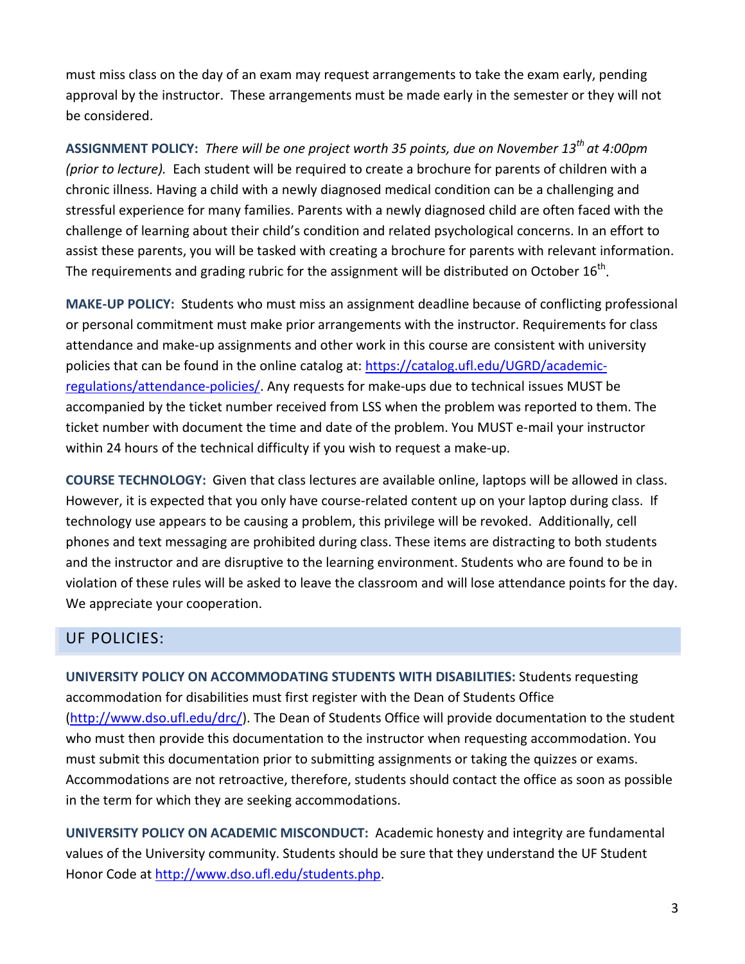must miss class on the day of an exam may request arrangements to take the exam early, pending approval by the instructor. These arrangements must be made early in the semester or they will not be considered.

**ASSIGNMENT POLICY:** *There will be one project worth 35 points, due on November 13th at 4:00pm (prior to lecture).* Each student will be required to create a brochure for parents of children with a chronic illness. Having a child with a newly diagnosed medical condition can be a challenging and stressful experience for many families. Parents with a newly diagnosed child are often faced with the challenge of learning about their child's condition and related psychological concerns. In an effort to assist these parents, you will be tasked with creating a brochure for parents with relevant information. The requirements and grading rubric for the assignment will be distributed on October  $16^{th}$ .

**MAKE-UP POLICY:** Students who must miss an assignment deadline because of conflicting professional or personal commitment must make prior arrangements with the instructor. Requirements for class attendance and make-up assignments and other work in this course are consistent with university policies that can be found in the online catalog at: [https://catalog.ufl.edu/UGRD/academic](https://catalog.ufl.edu/UGRD/academic-regulations/attendance-policies/)[regulations/attendance-policies/.](https://catalog.ufl.edu/UGRD/academic-regulations/attendance-policies/) Any requests for make-ups due to technical issues MUST be accompanied by the ticket number received from LSS when the problem was reported to them. The ticket number with document the time and date of the problem. You MUST e-mail your instructor within 24 hours of the technical difficulty if you wish to request a make-up.

**COURSE TECHNOLOGY:** Given that class lectures are available online, laptops will be allowed in class. However, it is expected that you only have course-related content up on your laptop during class. If technology use appears to be causing a problem, this privilege will be revoked. Additionally, cell phones and text messaging are prohibited during class. These items are distracting to both students and the instructor and are disruptive to the learning environment. Students who are found to be in violation of these rules will be asked to leave the classroom and will lose attendance points for the day. We appreciate your cooperation.

### UF POLICIES:

**UNIVERSITY POLICY ON ACCOMMODATING STUDENTS WITH DISABILITIES:** Students requesting accommodation for disabilities must first register with the Dean of Students Office [\(http://www.dso.ufl.edu/drc/\)](http://www.dso.ufl.edu/drc/). The Dean of Students Office will provide documentation to the student who must then provide this documentation to the instructor when requesting accommodation. You must submit this documentation prior to submitting assignments or taking the quizzes or exams. Accommodations are not retroactive, therefore, students should contact the office as soon as possible in the term for which they are seeking accommodations.

**UNIVERSITY POLICY ON ACADEMIC MISCONDUCT:** Academic honesty and integrity are fundamental values of the University community. Students should be sure that they understand the UF Student Honor Code at [http://www.dso.ufl.edu/students.php.](http://www.dso.ufl.edu/students.php)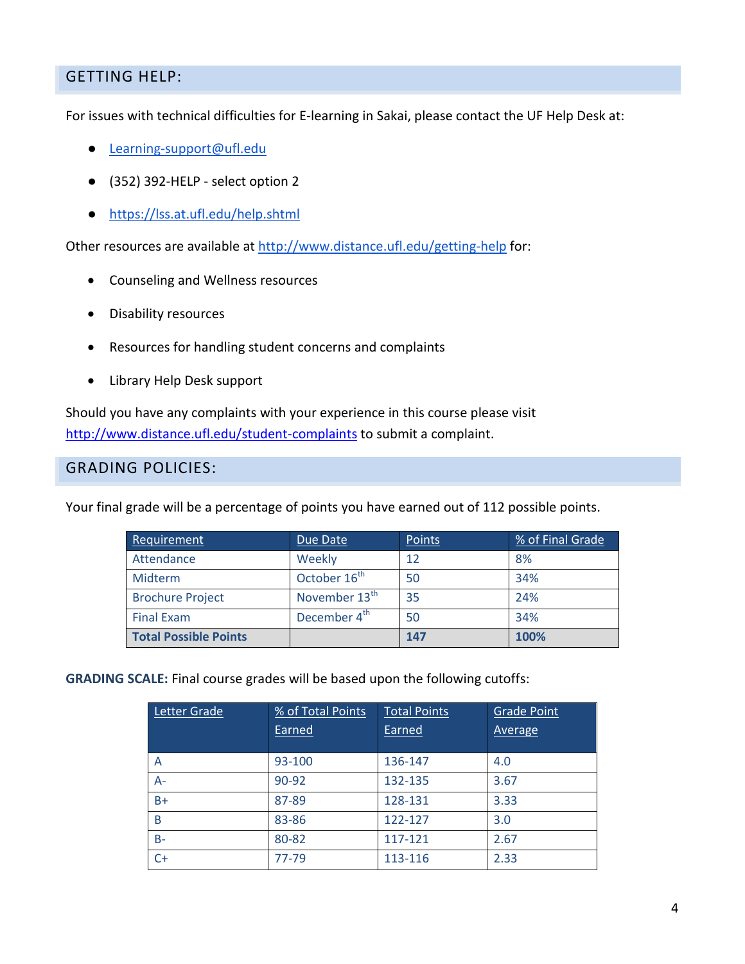#### GETTING HELP:

For issues with technical difficulties for E-learning in Sakai, please contact the UF Help Desk at:

- [Learning-support@ufl.edu](mailto:Learning-support@ufl.edu)
- (352) 392-HELP select option 2
- <https://lss.at.ufl.edu/help.shtml>

Other resources are available at<http://www.distance.ufl.edu/getting-help> for:

- Counseling and Wellness resources
- Disability resources
- Resources for handling student concerns and complaints
- Library Help Desk support

Should you have any complaints with your experience in this course please visit <http://www.distance.ufl.edu/student-complaints> to submit a complaint.

#### GRADING POLICIES:

Your final grade will be a percentage of points you have earned out of 112 possible points.

| Requirement                  | Due Date                  | Points | % of Final Grade |
|------------------------------|---------------------------|--------|------------------|
| Attendance                   | Weekly                    | 12     | 8%               |
| Midterm                      | October 16 <sup>th</sup>  | 50     | 34%              |
| <b>Brochure Project</b>      | November 13 <sup>th</sup> | 35     | 24%              |
| <b>Final Exam</b>            | December 4 <sup>th</sup>  | 50     | 34%              |
| <b>Total Possible Points</b> |                           | 147    | 100%             |

**GRADING SCALE:** Final course grades will be based upon the following cutoffs:

| Letter Grade | % of Total Points<br>Earned | <b>Total Points</b><br>Earned | <b>Grade Point</b><br><b>Average</b> |
|--------------|-----------------------------|-------------------------------|--------------------------------------|
| A            | 93-100                      | 136-147                       | 4.0                                  |
| $A-$         | 90-92                       | 132-135                       | 3.67                                 |
| $B+$         | 87-89                       | 128-131                       | 3.33                                 |
| B            | 83-86                       | 122-127                       | 3.0                                  |
| $B -$        | 80-82                       | 117-121                       | 2.67                                 |
| C+           | 77-79                       | 113-116                       | 2.33                                 |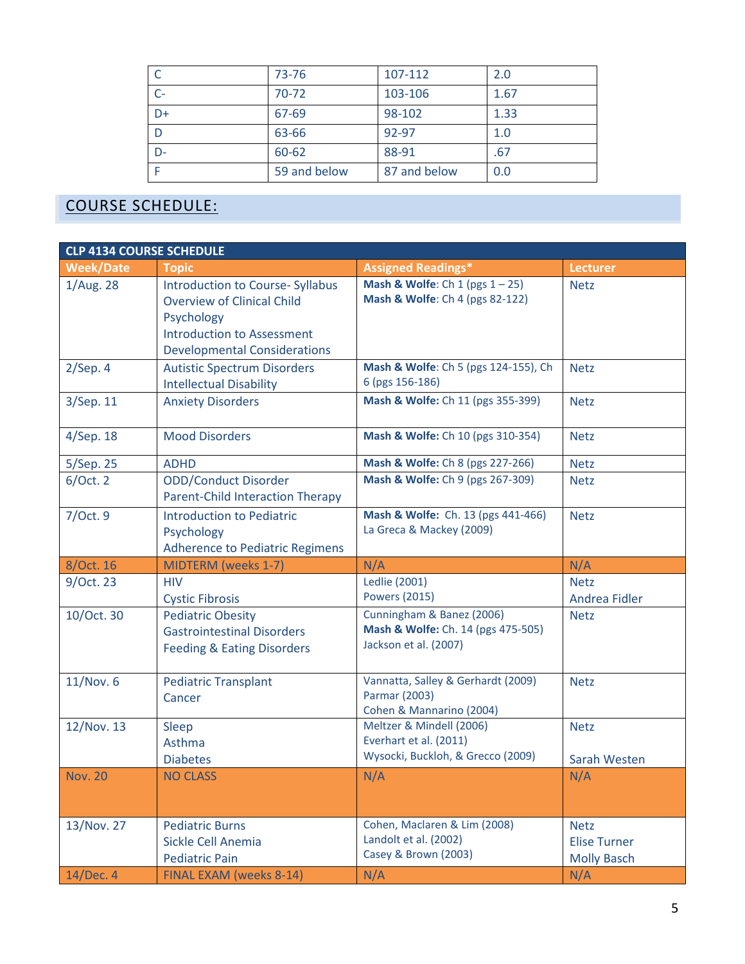|      | 73-76        | 107-112      | 2.0  |
|------|--------------|--------------|------|
| $C-$ | $70 - 72$    | 103-106      | 1.67 |
| $D+$ | 67-69        | 98-102       | 1.33 |
| D    | 63-66        | 92-97        | 1.0  |
| $D-$ | 60-62        | 88-91        | .67  |
|      | 59 and below | 87 and below | 0.0  |

## COURSE SCHEDULE:

| <b>CLP 4134 COURSE SCHEDULE</b> |                                                                                                                                                                        |                                                                                          |                                                          |  |
|---------------------------------|------------------------------------------------------------------------------------------------------------------------------------------------------------------------|------------------------------------------------------------------------------------------|----------------------------------------------------------|--|
| <b>Week/Date</b>                | <b>Topic</b>                                                                                                                                                           | <b>Assigned Readings*</b>                                                                | Lecturer                                                 |  |
| 1/Aug. 28                       | <b>Introduction to Course- Syllabus</b><br><b>Overview of Clinical Child</b><br>Psychology<br><b>Introduction to Assessment</b><br><b>Developmental Considerations</b> | <b>Mash &amp; Wolfe:</b> Ch 1 (pgs $1 - 25$ )<br>Mash & Wolfe: Ch 4 (pgs 82-122)         | <b>Netz</b>                                              |  |
| $2/$ Sep. 4                     | <b>Autistic Spectrum Disorders</b><br><b>Intellectual Disability</b>                                                                                                   | Mash & Wolfe: Ch 5 (pgs 124-155), Ch<br>6 (pgs 156-186)                                  | <b>Netz</b>                                              |  |
| 3/Sep. 11                       | <b>Anxiety Disorders</b>                                                                                                                                               | Mash & Wolfe: Ch 11 (pgs 355-399)                                                        | <b>Netz</b>                                              |  |
| 4/Sep. 18                       | <b>Mood Disorders</b>                                                                                                                                                  | Mash & Wolfe: Ch 10 (pgs 310-354)                                                        | <b>Netz</b>                                              |  |
| 5/Sep. 25                       | <b>ADHD</b>                                                                                                                                                            | Mash & Wolfe: Ch 8 (pgs 227-266)                                                         | <b>Netz</b>                                              |  |
| 6/Oct.2                         | <b>ODD/Conduct Disorder</b><br><b>Parent-Child Interaction Therapy</b>                                                                                                 | Mash & Wolfe: Ch 9 (pgs 267-309)                                                         | <b>Netz</b>                                              |  |
| 7/Oct. 9                        | <b>Introduction to Pediatric</b><br>Psychology<br><b>Adherence to Pediatric Regimens</b>                                                                               | Mash & Wolfe: Ch. 13 (pgs 441-466)<br>La Greca & Mackey (2009)                           | <b>Netz</b>                                              |  |
| 8/Oct. 16                       | <b>MIDTERM</b> (weeks 1-7)                                                                                                                                             | N/A                                                                                      | N/A                                                      |  |
| 9/Oct. 23                       | <b>HIV</b><br><b>Cystic Fibrosis</b>                                                                                                                                   | <b>Ledlie (2001)</b><br><b>Powers (2015)</b>                                             | <b>Netz</b><br>Andrea Fidler                             |  |
| 10/Oct. 30                      | <b>Pediatric Obesity</b><br><b>Gastrointestinal Disorders</b><br><b>Feeding &amp; Eating Disorders</b>                                                                 | Cunningham & Banez (2006)<br>Mash & Wolfe: Ch. 14 (pgs 475-505)<br>Jackson et al. (2007) | <b>Netz</b>                                              |  |
| 11/Nov. 6                       | <b>Pediatric Transplant</b><br>Cancer                                                                                                                                  | Vannatta, Salley & Gerhardt (2009)<br>Parmar (2003)<br>Cohen & Mannarino (2004)          | <b>Netz</b>                                              |  |
| 12/Nov. 13                      | <b>Sleep</b><br>Asthma                                                                                                                                                 | Meltzer & Mindell (2006)<br>Everhart et al. (2011)<br>Wysocki, Buckloh, & Grecco (2009)  | <b>Netz</b>                                              |  |
|                                 | <b>Diabetes</b>                                                                                                                                                        |                                                                                          | Sarah Westen                                             |  |
| <b>Nov. 20</b>                  | <b>NO CLASS</b>                                                                                                                                                        | N/A                                                                                      | N/A                                                      |  |
| 13/Nov. 27                      | <b>Pediatric Burns</b><br>Sickle Cell Anemia<br><b>Pediatric Pain</b>                                                                                                  | Cohen, Maclaren & Lim (2008)<br>Landolt et al. (2002)<br>Casey & Brown (2003)            | <b>Netz</b><br><b>Elise Turner</b><br><b>Molly Basch</b> |  |
| 14/Dec. 4                       | FINAL EXAM (weeks 8-14)                                                                                                                                                | N/A                                                                                      | N/A                                                      |  |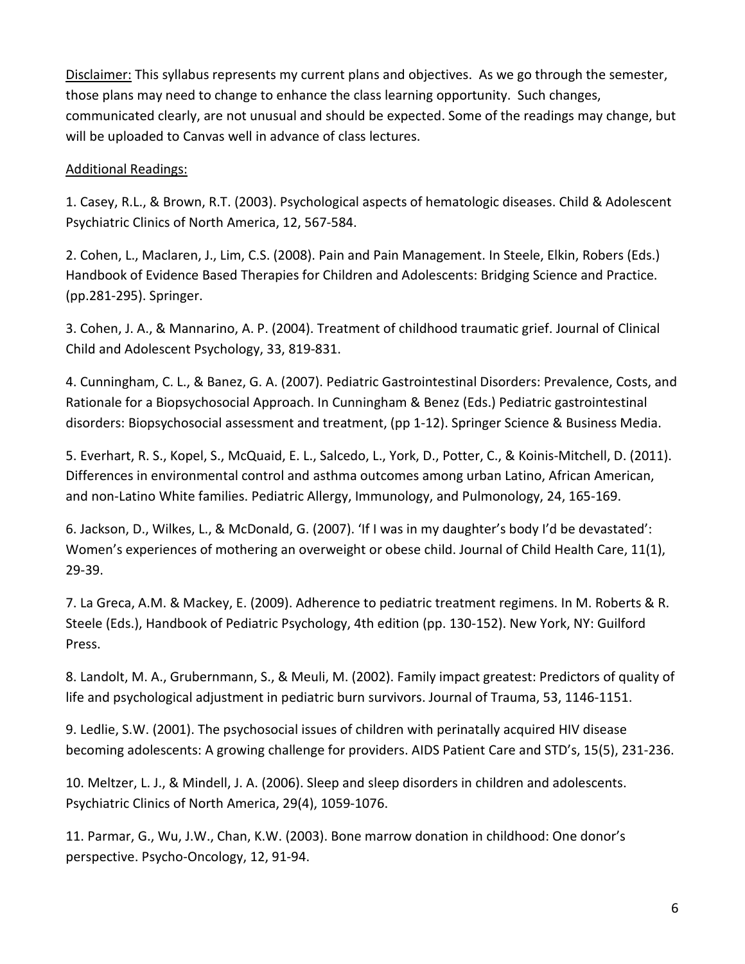Disclaimer: This syllabus represents my current plans and objectives. As we go through the semester, those plans may need to change to enhance the class learning opportunity. Such changes, communicated clearly, are not unusual and should be expected. Some of the readings may change, but will be uploaded to Canvas well in advance of class lectures.

#### Additional Readings:

1. Casey, R.L., & Brown, R.T. (2003). Psychological aspects of hematologic diseases. Child & Adolescent Psychiatric Clinics of North America, 12, 567-584.

2. Cohen, L., Maclaren, J., Lim, C.S. (2008). Pain and Pain Management. In Steele, Elkin, Robers (Eds.) Handbook of Evidence Based Therapies for Children and Adolescents: Bridging Science and Practice. (pp.281-295). Springer.

3. Cohen, J. A., & Mannarino, A. P. (2004). Treatment of childhood traumatic grief. Journal of Clinical Child and Adolescent Psychology, 33, 819-831.

4. Cunningham, C. L., & Banez, G. A. (2007). Pediatric Gastrointestinal Disorders: Prevalence, Costs, and Rationale for a Biopsychosocial Approach. In Cunningham & Benez (Eds.) Pediatric gastrointestinal disorders: Biopsychosocial assessment and treatment, (pp 1-12). Springer Science & Business Media.

5. Everhart, R. S., Kopel, S., McQuaid, E. L., Salcedo, L., York, D., Potter, C., & Koinis-Mitchell, D. (2011). Differences in environmental control and asthma outcomes among urban Latino, African American, and non-Latino White families. Pediatric Allergy, Immunology, and Pulmonology, 24, 165-169.

6. Jackson, D., Wilkes, L., & McDonald, G. (2007). 'If I was in my daughter's body I'd be devastated': Women's experiences of mothering an overweight or obese child. Journal of Child Health Care, 11(1), 29-39.

7. La Greca, A.M. & Mackey, E. (2009). Adherence to pediatric treatment regimens. In M. Roberts & R. Steele (Eds.), Handbook of Pediatric Psychology, 4th edition (pp. 130-152). New York, NY: Guilford Press.

8. Landolt, M. A., Grubernmann, S., & Meuli, M. (2002). Family impact greatest: Predictors of quality of life and psychological adjustment in pediatric burn survivors. Journal of Trauma, 53, 1146-1151.

9. Ledlie, S.W. (2001). The psychosocial issues of children with perinatally acquired HIV disease becoming adolescents: A growing challenge for providers. AIDS Patient Care and STD's, 15(5), 231-236.

10. Meltzer, L. J., & Mindell, J. A. (2006). Sleep and sleep disorders in children and adolescents. Psychiatric Clinics of North America, 29(4), 1059-1076.

11. Parmar, G., Wu, J.W., Chan, K.W. (2003). Bone marrow donation in childhood: One donor's perspective. Psycho-Oncology, 12, 91-94.